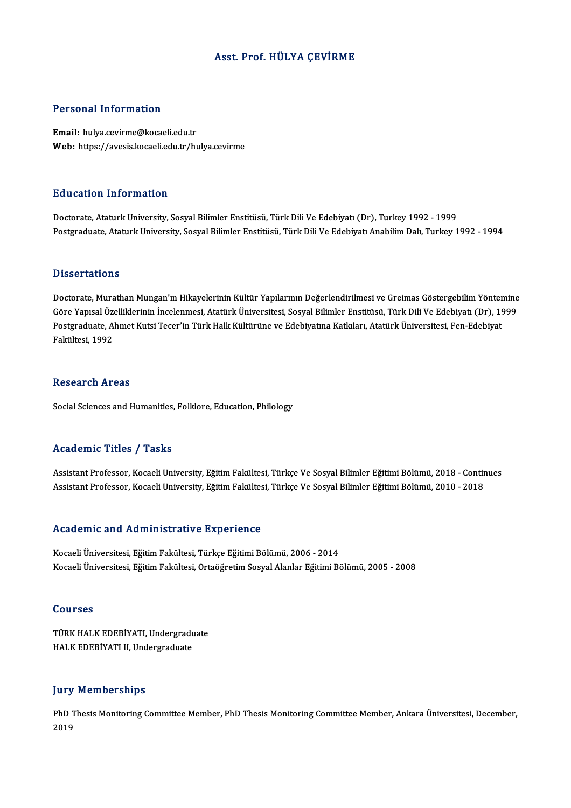## Asst. Prof.HÜLYA ÇEVİRME

## Personal Information

Email: hulya.cevirme@kocaeli.edu.tr Web: https://avesis.kocaeli.edu.tr/hulya.cevirme

## Education Information

Doctorate, Ataturk University, Sosyal Bilimler Enstitüsü, Türk Dili Ve Edebiyatı (Dr), Turkey 1992 - 1999 Postgraduate, Ataturk University, Sosyal Bilimler Enstitüsü, Türk Dili Ve Edebiyatı Anabilim Dalı, Turkey 1992 - 1994

### **Dissertations**

Dissertations<br>Doctorate, Murathan Mungan'ın Hikayelerinin Kültür Yapılarının Değerlendirilmesi ve Greimas Göstergebilim Yöntemine<br>Göre Yapıcel Örelliklerinin İncelenmesi, Atetürk Üniversitesi, Sesval Bilimler Enstitüsü, Tü Büsser tatronis<br>Doctorate, Murathan Mungan'ın Hikayelerinin Kültür Yapılarının Değerlendirilmesi ve Greimas Göstergebilim Yöntemine<br>Göre Yapısal Özelliklerinin İncelenmesi, Atatürk Üniversitesi, Sosyal Bilimler Enstitüsü, Doctorate, Murathan Mungan'ın Hikayelerinin Kültür Yapılarının Değerlendirilmesi ve Greimas Göstergebilim Yönter<br>Göre Yapısal Özelliklerinin İncelenmesi, Atatürk Üniversitesi, Sosyal Bilimler Enstitüsü, Türk Dili Ve Edebiy Göre Yapısal Özelliklerinin İncelenmesi, Atatürk Üniversitesi, Sosyal Bilimler Enstitüsü, Türk Dili Ve Edebiyatı (Dr), 1999<br>Postgraduate, Ahmet Kutsi Tecer'in Türk Halk Kültürüne ve Edebiyatına Katkıları, Atatürk Üniversit

### **Research Areas**

Social Sciences and Humanities, Folklore, Education, Philology

## Academic Titles / Tasks

Assistant Professor, Kocaeli University, Eğitim Fakültesi, Türkçe Ve Sosyal Bilimler Eğitimi Bölümü, 2018 - Continues Assistant Professor, Kocaeli University, Eğitim Fakültesi, Türkçe Ve Sosyal Bilimler Eğitimi Bölümü, 2010 - 2018

### Academic and Administrative Experience

Kocaeli Üniversitesi, Eğitim Fakültesi, Türkçe Eğitimi Bölümü, 2006 - 2014 Kocaeli Üniversitesi, Eğitim Fakültesi, Ortaöğretim Sosyal Alanlar Eğitimi Bölümü, 2005 - 2008

### Courses

Courses<br>TÜRK HALK EDEBİYATI, Undergraduate<br>HALK EDERİYATLU Undergraduate JOUT 585<br>TÜRK HALK EDEBİYATI, Undergradu<br>HALK EDEBİYATI II, Undergraduate HALK EDEBİYATI II, Undergraduate<br>Jury Memberships

Jury Memberships<br>PhD Thesis Monitoring Committee Member, PhD Thesis Monitoring Committee Member, Ankara Üniversitesi, December,<br>2019 141<br>PhD<br>2019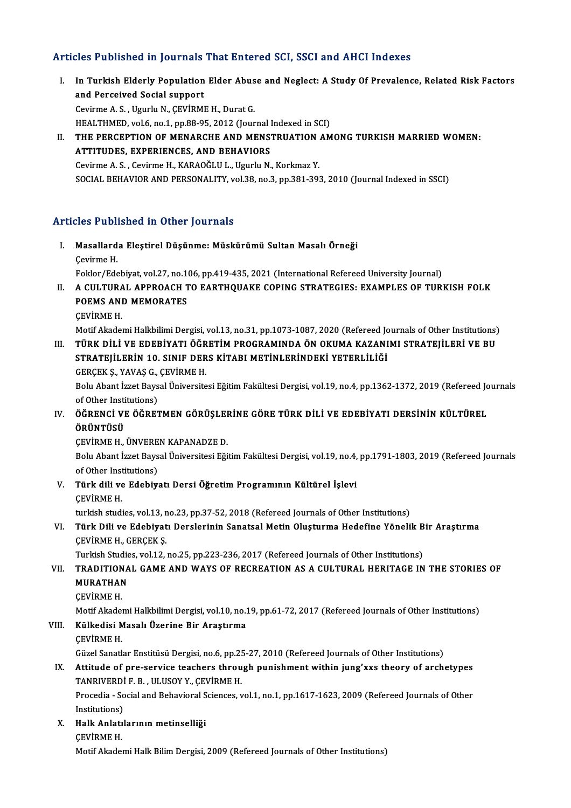## Articles Published in Journals That Entered SCI, SSCI and AHCI Indexes

rticles Published in Journals That Entered SCI, SSCI and AHCI Indexes<br>I. In Turkish Elderly Population Elder Abuse and Neglect: A Study Of Prevalence, Related Risk Factors<br>And Persejued Secial sunnert and Perceived III your huis<br>and Perceived Social support<br>Cavinne A. S. Haurly M. CEVIDM and Perceived Social support<br>Cevirme A. S., Ugurlu N., ÇEVİRME H., Durat G. HEALTHMED, vol.6, no.1, pp.88-95, 2012 (Journal Indexed in SCI) Cevirme A. S. , Ugurlu N., ÇEVİRME H., Durat G.<br>HEALTHMED, vol.6, no.1, pp.88-95, 2012 (Journal Indexed in SCI)<br>II. THE PERCEPTION OF MENARCHE AND MENSTRUATION AMONG TURKISH MARRIED WOMEN:<br>ATTITUDES, EVPERIENCES, AND P HEALTHMED, vol.6, no.1, pp.88-95, 2012 (Journal 1<br>THE PERCEPTION OF MENARCHE AND MENS<br>ATTITUDES, EXPERIENCES, AND BEHAVIORS

THE PERCEPTION OF MENARCHE AND MENSTRUATION.<br>ATTITUDES, EXPERIENCES, AND BEHAVIORS<br>Cevirme A.S., Cevirme H., KARAOĞLU L., Ugurlu N., Korkmaz Y.<br>SOCIAL BEHAVIOR AND BERSONALITY vol 29. pp.2. pp.291-20; ATTITUDES, EXPERIENCES, AND BEHAVIORS<br>Cevirme A. S. , Cevirme H., KARAOĞLU L., Ugurlu N., Korkmaz Y.<br>SOCIAL BEHAVIOR AND PERSONALITY, vol.38, no.3, pp.381-393, 2010 (Journal Indexed in SSCI)

# Articles Published in Other Journals

- rticles Published in Other Journals<br>I. Masallarda Eleştirel Düşünme: Müskürümü Sultan Masalı Örneği<br>Cavinne H Masallard<br>Masallard<br>Çevirme H. Cevirme H.<br>Foklor/Edebiyat, vol.27, no.106, pp.419-435, 2021 (International Refereed University Journal) Cevirme H.<br>Foklor/Edebiyat, vol.27, no.106, pp.419-435, 2021 (International Refereed University Journal)<br>II. A CULTURAL APPROACH TO EARTHQUAKE COPING STRATEGIES: EXAMPLES OF TURKISH FOLK<br>ROEMS AND MEMORATES
- Foklor/Edebiyat, vol.27, no.14<br>A CULTURAL APPROACH T<br>POEMS AND MEMORATES<br>CEVIPME H A CULTURA<br>POEMS ANI<br>ÇEVİRME H.<br>Metif Akadel POEMS AND MEMORATES<br>ÇEVİRME H.<br>Motif Akademi Halkbilimi Dergisi, vol.13, no.31, pp.1073-1087, 2020 (Refereed Journals of Other Institutions)<br>TÜRK DİLİ VE ERERIYATI ÖĞRETİM RROCRAMINDA ÖN OKUMA KAZANIMI STRATELLERİ VE RIL
	-

# CEVİRME H.<br>Motif Akademi Halkbilimi Dergisi, vol.13, no.31, pp.1073-1087, 2020 (Refereed Journals of Other Institutions)<br>III. TÜRK DİLİ VE EDEBİYATI ÖĞRETİM PROGRAMINDA ÖN OKUMA KAZANIMI STRATEJİLERİ VE BU<br>STRATEJİLERİ Motif Akademi Halkbilimi Dergisi, vol.13, no.31, pp.1073-1087, 2020 (Refereed Jo<br>TÜRK DİLİ VE EDEBİYATI ÖĞRETİM PROGRAMINDA ÖN OKUMA KAZANI<br>STRATEJİLERİN 10. SINIF DERS KİTABI METİNLERİNDEKİ YETERLİLİĞİ<br>CERCEK S. XANAS C. III. TÜRK DİLİ VE EDEBİYATI ÖĞRETİM PROGRAMINDA ÖN OKUMA KAZANIMI STRATEJİLERİ VE BU STRATEJİLERİN 10. SINIF DERS KİTABI METİNLERİNDEKİ YETERLİLİĞİ<br>GERÇEK Ş., YAVAŞ G., ÇEVİRME H.

STRATEJİLERİN 10. SINIF DERS KİTABI METİNLERİNDEKİ YETERLİLİĞİ<br>GERÇEK Ş., YAVAŞ G., ÇEVİRME H.<br>Bolu Abant İzzet Baysal Üniversitesi Eğitim Fakültesi Dergisi, vol.19, no.4, pp.1362-1372, 2019 (Refereed Journals<br>ef Other Ins **GERÇEK Ş., YAVAŞ G.,<br>Bolu Abant İzzet Bays<br>of Other Institutions)** Bolu Abant İzzet Baysal Üniversitesi Eğitim Fakültesi Dergisi, vol.19, no.4, pp.1362-1372, 2019 (Refereed Jonal)<br>of Other Institutions)<br>IV. ÖĞRENCİ VE ÖĞRETMEN GÖRÜŞLERİNE GÖRE TÜRK DİLİ VE EDEBİYATI DERSİNİN KÜLTÜREL<br>

# of Other Insti<br><mark>ÖĞRENCİ VI</mark><br>ÖRÜNTÜSÜ ÖĞRENCİ VE ÖĞRETMEN GÖRÜŞLEI<br>ÖRÜNTÜSÜ<br>ÇEVİRME H., ÜNVEREN KAPANADZE D.<br>Polu Abant İzzet Paycal Üniversitesi Eği

ÖRÜNTÜSÜ<br>ÇEVİRME H., ÜNVEREN KAPANADZE D.<br>Bolu Abant İzzet Baysal Üniversitesi Eğitim Fakültesi Dergisi, vol.19, no.4, pp.1791-1803, 2019 (Refereed Journals<br>of Other Institutione) **CEVIRME H., ÜNVERE**<br>Bolu Abant İzzet Bays<br>of Other Institutions)<br>Türk dili ve Edebiy Bolu Abant İzzet Baysal Üniversitesi Eğitim Fakültesi Dergisi, vol.19, no.4,<br>of Other Institutions)<br>V. Türk dili ve Edebiyatı Dersi Öğretim Programının Kültürel İşlevi<br>CEVIPME H

of Other Institutions)<br>V. Türk dili ve Edebiyatı Dersi Öğretim Programının Kültürel İşlevi<br>ÇEVİRME H.

turkish studies, vol.13, no.23, pp.37-52, 2018 (Refereed Journals of Other Institutions)

# CEVİRME H.<br>turkish studies, vol.13, no.23, pp.37-52, 2018 (Refereed Journals of Other Institutions)<br>VI. Türk Dili ve Edebiyatı Derslerinin Sanatsal Metin Oluşturma Hedefine Yönelik Bir Araştırma<br>CEVİRME H. CERCEK S turkish studies, vol.13, r<br>Türk Dili ve Edebiyat<br>ÇEVİRME H., GERÇEK Ş.<br>Turkish Studies, vol.12 Türk Dili ve Edebiyatı Derslerinin Sanatsal Metin Oluşturma Hedefine Yönelik B<br>ÇEVİRME H., GERÇEK Ş.<br>Turkish Studies, vol.12, no.25, pp.223-236, 2017 (Refereed Journals of Other Institutions)<br>TRADITIONAL CAME AND WAYS OF R CEVIRME H., GERÇEK Ş.<br>Turkish Studies, vol.12, no.25, pp.223-236, 2017 (Refereed Journals of Other Institutions)<br>VII. TRADITIONAL GAME AND WAYS OF RECREATION AS A CULTURAL HERITAGE IN THE STORIES OF

# Turkish Studie<br>TRADITIONA<br>MURATHAN<br>CEVIDME H TRADITION<br>MURATHAN<br>ÇEVİRME H.<br>Matif Akadal

ÇEVİRME H.<br>Motif Akademi Halkbilimi Dergisi, vol.10, no.19, pp.61-72, 2017 (Refereed Journals of Other Institutions) Motif Akader<br>**Külkedisi M<br>ÇEVİRME H.**<br>Güzel Sanatl

# CEVİRME H.<br>Motif Akademi Halkbilimi Dergisi, vol.10, no.1<br>VIII. Külkedisi Masalı Üzerine Bir Araştırma<br>CEVÜPME H

Külkedisi Masalı Üzerine Bir Araştırma<br>ÇEVİRME H.<br>Güzel Sanatlar Enstitüsü Dergisi, no.6, pp.25-27, 2010 (Refereed Journals of Other Institutions)<br>Attitude of PES Service teachers through punishment within jung'yye theory

# CEVIRME H.<br>Güzel Sanatlar Enstitüsü Dergisi, no.6, pp.25-27, 2010 (Refereed Journals of Other Institutions)<br>IX. Attitude of pre-service teachers through punishment within jung'xxs theory of archetypes<br>TANPIVERDLE R. HUJISO Güzel Sanatlar Enstitüsü Dergisi, no.6, pp.25<br>Attitude of pre-service teachers throu<br>TANRIVERDİ F. B. , ULUSOY Y., ÇEVİRME H.<br>Presedia - Sosial and Pehavioral Ssianses. 11 Attitude of pre-service teachers through punishment within jung'xxs theory of archetypes<br>TANRIVERDİ F. B. , ULUSOY Y., ÇEVİRME H.<br>Procedia - Social and Behavioral Sciences, vol.1, no.1, pp.1617-1623, 2009 (Refereed Journal

TANRIVERDİ F. B. , ULUSOY Y., ÇEVİRME H.<br>Procedia - Social and Behavioral Sciences, vol.1, no.1, pp.1617-1623, 2009 (Refereed Journals of Other<br>Institutions) Procedia - Social and Behavioral S<br>Institutions)<br>X. Halk Anlatılarının metinselliği<br>CEVIDME H

Institutions)<br><mark>Halk Anlatı</mark><br>ÇEVİRME H.<br>Metif Akadal

CEVIRME H.<br>Motif Akademi Halk Bilim Dergisi, 2009 (Refereed Journals of Other Institutions)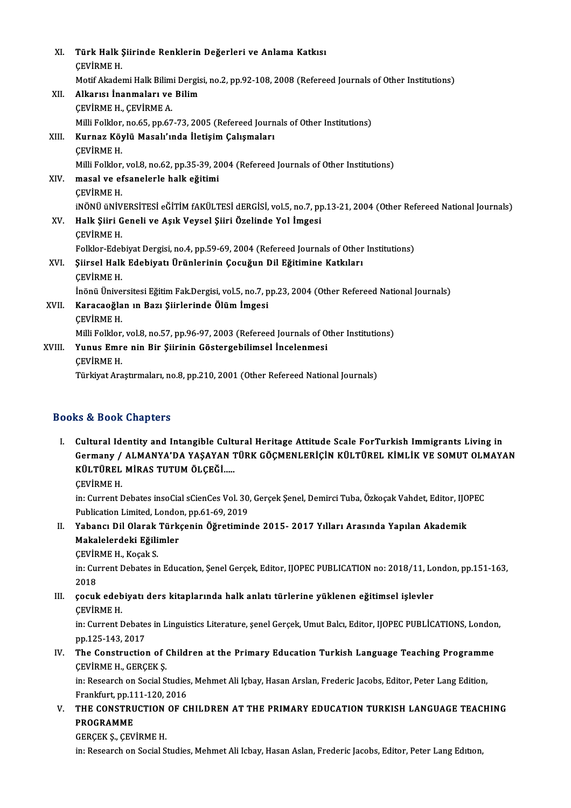| XI.    | Türk Halk Şiirinde Renklerin Değerleri ve Anlama Katkısı                                                    |
|--------|-------------------------------------------------------------------------------------------------------------|
|        | <b>CEVIRME H</b>                                                                                            |
|        | Motif Akademi Halk Bilimi Dergisi, no.2, pp.92-108, 2008 (Refereed Journals of Other Institutions)          |
| XII.   | Alkarısı İnanmaları ve Bilim                                                                                |
|        | <b>CEVIRME H., CEVIRME A.</b>                                                                               |
|        | Milli Folklor, no.65, pp.67-73, 2005 (Refereed Journals of Other Institutions)                              |
| XIII.  | Kurnaz Köylü Masalı'ında İletişim Çalışmaları                                                               |
|        | <b>CEVIRME H</b>                                                                                            |
|        | Milli Folklor, vol.8, no.62, pp.35-39, 2004 (Refereed Journals of Other Institutions)                       |
| XIV.   | masal ve efsanelerle halk eğitimi                                                                           |
|        | <b>CEVIRME H</b>                                                                                            |
|        | iNÖNÜ üNİVERSİTESİ eĞİTİM fAKÜLTESİ dERGİSİ, vol.5, no.7, pp.13-21, 2004 (Other Refereed National Journals) |
| XV.    | Halk Şiiri Geneli ve Aşık Veysel Şiiri Özelinde Yol İmgesi                                                  |
|        | <b>CEVIRME H</b>                                                                                            |
|        | Folklor-Edebiyat Dergisi, no.4, pp.59-69, 2004 (Refereed Journals of Other Institutions)                    |
| XVI.   | Şiirsel Halk Edebiyatı Ürünlerinin Çocuğun Dil Eğitimine Katkıları                                          |
|        | <b>CEVIRME H</b>                                                                                            |
|        | İnönü Üniversitesi Eğitim Fak.Dergisi, vol.5, no.7, pp.23, 2004 (Other Refereed National Journals)          |
| XVII.  | Karacaoğlan ın Bazı Şiirlerinde Ölüm İmgesi                                                                 |
|        | <b>CEVIRME H.</b>                                                                                           |
|        | Milli Folklor, vol.8, no.57, pp.96-97, 2003 (Refereed Journals of Other Institutions)                       |
| XVIII. | Yunus Emre nin Bir Şiirinin Göstergebilimsel İncelenmesi                                                    |
|        | <b>CEVIRME H</b>                                                                                            |
|        | Türkiyat Araştırmaları, no.8, pp.210, 2001 (Other Refereed National Journals)                               |
|        |                                                                                                             |

## Books&Book Chapters

I. Cultural Identity and Intangible Cultural Heritage Attitude Scale ForTurkish Immigrants Living in to d'Boon emapters<br>Cultural Identity and Intangible Cultural Heritage Attitude Scale ForTurkish Immigrants Living in<br>Germany / ALMANYA'DA YAŞAYAN TÜRK GÖÇMENLERİÇİN KÜLTÜREL KİMLİK VE SOMUT OLMAYAN<br>KÜLTÜREL MİRAS TUTUM ÖLC Cultural Identity and Intangible Cult<br>Germany / ALMANYA'DA YAŞAYAN 1<br>KÜLTÜREL MİRAS TUTUM ÖLÇEĞİ.....<br>CEVİRME H Germany /<br>KÜLTÜREL<br>ÇEVİRME H.<br>in: Current L

KÜLTÜREL MİRAS TUTUM ÖLÇEĞİ.....<br>ÇEVİRME H.<br>in: Current Debates insoCial sCienCes Vol. 30, Gerçek Şenel, Demirci Tuba, Özkoçak Vahdet, Editor, IJOPEC<br>Publisation Limited, London nn 61, 60, 2019. CEVİRME H.<br>in: Current Debates insoCial sCienCes Vol. 30<br>Publication Limited, London, pp.61-69, 2019<br>Yahansı Dil Olarak Türksonin Öğretimin

Publication Limited, London, pp.61-69, 2019<br>II. Yabancı Dil Olarak Türkçenin Öğretiminde 2015- 2017 Yılları Arasında Yapılan Akademik Publication Limited, Londo<br>Yabancı Dil Olarak Türk<br>Makalelerdeki Eğilimler<br>CEVİPME H-Kosak S Yabancı Dil Olarak<br>Makalelerdeki Eğili<br>ÇEVİRME H., Koçak S.<br>in: Gurrent Debates in

**CEVIRME H., Koçak S.** 

in: Current Debates in Education, Şenel Gerçek, Editor, IJOPEC PUBLICATION no: 2018/11, London, pp.151-163, 2018 In: Current Debates in Education, Şenel Gerçek, Editor, IJOPEC PUBLICATION no: 2018/11, Lc<br>2018<br>III. çocuk edebiyatı ders kitaplarında halk anlatı türlerine yüklenen eğitimsel işlevler<br>CEVIPME H

2018<br>çocuk edeb<br>ÇEVİRME H.<br>in: Current L çocuk edebiyatı ders kitaplarında halk anlatı türlerine yüklenen eğitimsel işlevler<br>ÇEVİRME H.<br>in: Current Debates in Linguistics Literature, şenel Gerçek, Umut Balcı, Editor, IJOPEC PUBLİCATIONS, London,<br>nn 125 142 2017

**CEVIRME H.<br>in: Current Debate<br>pp.125-143, 2017<br>The Construction** in: Current Debates in Linguistics Literature, şenel Gerçek, Umut Balcı, Editor, IJOPEC PUBLİCATIONS, Londor<br>pp.125-143, 2017<br>IV. The Construction of Children at the Primary Education Turkish Language Teaching Programme<br>CE

# pp.125-143, 2017<br>The Construction of (<br>CEVİRME H., GERÇEK Ş.<br>in: Pessersh on Sosial S. The Construction of Children at the Primary Education Turkish Language Teaching Programm<br>ÇEVİRME H., GERÇEK Ş.<br>in: Research on Social Studies, Mehmet Ali Içbay, Hasan Arslan, Frederic Jacobs, Editor, Peter Lang Edition,<br>En

ÇEVİRME H., GERÇEK Ş.<br>in: Research on Social Studies, Mehmet Ali Içbay, Hasan Arslan, Frederic Jacobs, Editor, Peter Lang Edition,<br>Frankfurt, pp.111-120, 2016 in: Research on Social Studies, Mehmet Ali Içbay, Hasan Arslan, Frederic Jacobs, Editor, Peter Lang Edition,<br>Frankfurt, pp.111-120, 2016<br>V. THE CONSTRUCTION OF CHILDREN AT THE PRIMARY EDUCATION TURKISH LANGUAGE TEACHING<br>PR

Frankfurt, pp.11<br>THE CONSTRU<br>PROGRAMME PROGRAMME<br>GERÇEK Ş., ÇEVİRME H.

in: Research on Social Studies, Mehmet Ali Icbay, Hasan Aslan, Frederic Jacobs, Editor, Peter Lang Edition,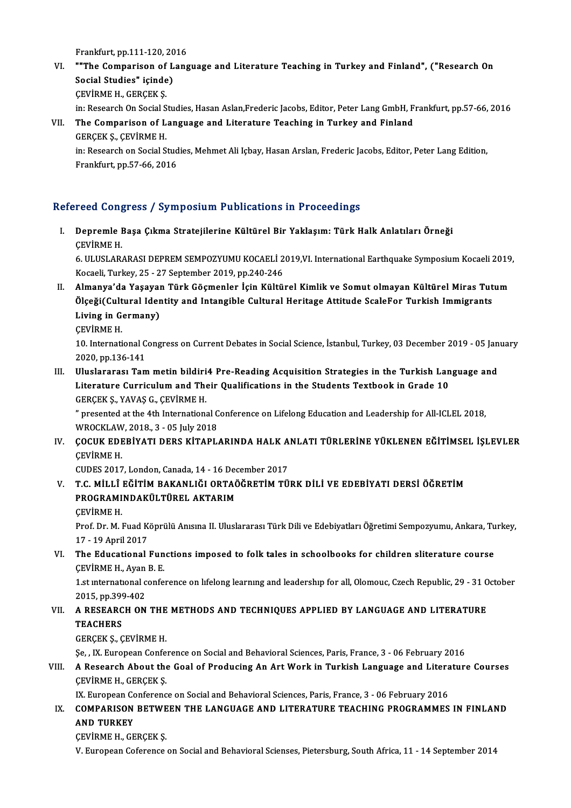Frankfurt, pp.111-120, 2016<br>""The Cemperison of Lang

VI. ""The Comparison of Language and Literature Teaching in Turkey and Finland", ("Research On Frankfurt, pp.111-120, 20<br>""The Comparison of L<br>Social Studies" içinde)<br>CEVIBME H. CERCEV S Social Studies" içinde)<br>ÇEVİRME H., GERÇEK Ş.

in: Research On Social Studies, Hasan Aslan,Frederic Jacobs, Editor, Peter Lang GmbH, Frankfurt, pp.57-66, 2016

VII. The Comparison of Language and Literature Teaching in Turkey and Finland GERÇEKŞ.,ÇEVİRMEH. The Comparison of Language and Literature Teaching in Turkey and Finland<br>GERÇEK Ş., ÇEVİRME H.<br>in: Research on Social Studies, Mehmet Ali Içbay, Hasan Arslan, Frederic Jacobs, Editor, Peter Lang Edition,<br>Enaplefurt pp.57,6

GERÇEK Ş., ÇEVİRME H.<br>in: Research on Social Stud<br>Frankfurt, pp.57-66, 2016

# Frankfurt, pp.57-66, 2016<br>Refereed Congress / Symposium Publications in Proceedings

efereed Congress / Symposium Publications in Proceedings<br>I. Depremle Başa Çıkma Stratejilerine Kültürel Bir Yaklaşım: Türk Halk Anlatıları Örneği<br>CEVİDME H Depremle I<br>Depremle I<br>ÇEVİRME H. Depremle Başa Çıkma Stratejilerine Kültürel Bir Yaklaşım: Türk Halk Anlatıları Örneği<br>ÇEVİRME H.<br>6. ULUSLARARASI DEPREM SEMPOZYUMU KOCAELİ 2019,VI. International Earthquake Symposium Kocaeli 2019,<br>Kogaeli Turkay 25., 27 Se

ÇEVİRME H.<br>6. ULUSLARARASI DEPREM SEMPOZYUMU KOCAELİ 2<br>Kocaeli, Turkey, 25 - 27 September 2019, pp.240-246<br>Almanya'da Yasayan Türk Gösmanlar İsin Kültü. 6. ULUSLARARASI DEPREM SEMPOZYUMU KOCAELİ 2019,VI. International Earthquake Symposium Kocaeli 2019<br>Kocaeli, Turkey, 25 - 27 September 2019, pp.240-246<br>II. Almanya'da Yaşayan Türk Göçmenler İçin Kültürel Kimlik ve Somut

Kocaeli, Turkey, 25 - 27 September 2019, pp.240-246<br>Almanya'da Yaşayan Türk Göçmenler İçin Kültürel Kimlik ve Somut olmayan Kültürel Miras Tut<br>Ölçeği(Cultural Identity and Intangible Cultural Heritage Attitude ScaleFor Tur Almanya'da Yaşayaı<br>Ölçeği(Cultural Ider<br>Living in Germany)<br>CEVİPME H Ölçeği(Cultural Identity and Intangible Cultural Heritage Attitude ScaleFor Turkish Immigrants<br>Living in Germany)<br>ÇEVİRME H.

Living in Germany)<br>ÇEVİRME H.<br>10. International Congress on Current Debates in Social Science, İstanbul, Turkey, 03 December 2019 - 05 January CEVIRME H.<br>10. International C<br>2020, pp.136-141<br>Illuslareres: Ter

2020, pp.136-141<br>III. Uluslararası Tam metin bildiri4 Pre-Reading Acquisition Strategies in the Turkish Language and 2020, pp.136-141<br>Uluslararası Tam metin bildiri4 Pre-Reading Acquisition Strategies in the Turkish Lan<br>Literature Curriculum and Their Qualifications in the Students Textbook in Grade 10<br>CERCEKS, XAVAS C. CEVIPME H Uluslararası Tam metin bildiri<br>Literature Curriculum and The<br>GERÇEK Ş., YAVAŞ G., ÇEVİRME H.<br>" presented at the 4th Internations Literature Curriculum and Their Qualifications in the Students Textbook in Grade 10<br>GERÇEK Ș., YAVAȘ G., ÇEVİRME H.<br>" presented at the 4th International Conference on Lifelong Education and Leadership for All-ICLEL 2018,<br>W

GERÇEK Ş., YAVAŞ G., ÇEVİRME H.<br>" presented at the 4th International Conference on Lifelong Education and Leadership for All-ICLEL 2018,<br>WROCKLAW, 2018., 3 - 05 July 2018 " presented at the 4th International Conference on Lifelong Education and Leadership for All-ICLEL 2018,<br>WROCKLAW, 2018., 3 - 05 July 2018<br>IV. COCUK EDEBİYATI DERS KİTAPLARINDA HALK ANLATI TÜRLERİNE YÜKLENEN EĞİTİMSEL İŞLE

WROCKLAW<br>ÇOCUK EDI<br>ÇEVİRME H.<br>CUDES 2017 COCUK EDEBİYATI DERS KİTAPLARINDA HALK A<br>ÇEVİRME H.<br>CUDES 2017, London, Canada, 14 - 16 December 2017<br>T.C. MİLLÎ EĞİTİM PAKANLIĞI OPTAÖĞPETİM TÜ

ÇEVİRME H.<br>CUDES 2017, London, Canada, 14 - 16 December 2017<br>V. — T.C. MİLLÎ EĞİTİM BAKANLIĞI ORTAÖĞRETİM TÜRK DİLİ VE EDEBİYATI DERSİ ÖĞRETİM<br>PROCRAMINDAKÜLTÜREL AKTARIM CUDES 2017, London, Canada, 14 - 16 Dec<br>T.C. MİLLÎ EĞİTİM BAKANLIĞI ORTAĞ<br>PROGRAMINDAKÜLTÜREL AKTARIM<br>CEVİDME H **T.C. MİLLÎ**<br>PROGRAMI<br>ÇEVİRME H.<br><sup>Prof. Pr. M. l</sup>

PROGRAMINDAKÜLTÜREL AKTARIM<br>ÇEVİRME H.<br>Prof. Dr. M. Fuad Köprülü Anısına II. Uluslararası Türk Dili ve Edebiyatları Öğretimi Sempozyumu, Ankara, Turkey, CEVIRME H.<br>Prof. Dr. M. Fuad K.<br>17 - 19 April 2017<br>The Educational Prof. Dr. M. Fuad Köprülü Anısına II. Uluslararası Türk Dili ve Edebiyatları Öğretimi Sempozyumu, Ankara, Tu<br>17 - 19 April 2017<br>VI. The Educational Functions imposed to folk tales in schoolbooks for children sliterature co

17 - 19 April 2017<br>VI. The Educational Functions imposed to folk tales in schoolbooks for children sliterature course<br>CEVİRME H., Ayan B. E. The Educational Functions imposed to folk tales in schoolbooks for children sliterature course<br>CEVİRME H., Ayan B. E.<br>1.st international conference on lifelong learning and leadership for all, Olomouc, Czech Republic, 29 -

CEVIRME H., Ayan<br>1.st international c<br>2015, pp.399-402<br>A BESEARCH ON 1.st international conference on lifelong learning and leadership for all, Olomouc, Czech Republic, 29 - 31 0<br>2015, pp.399-402<br>VII. A RESEARCH ON THE METHODS AND TECHNIQUES APPLIED BY LANGUAGE AND LITERATURE<br>TEACHERS

# 2015, pp.399<br>A RESEARC<br>TEACHERS

TEACHERS<br>GERÇEK Ş., ÇEVİRME H.

Şe, , IX.EuropeanConference onSocialandBehavioralSciences,Paris,France,3 -06 February2016

# GERÇEK Ş., ÇEVİRME H.<br>Şe, , IX. European Conference on Social and Behavioral Sciences, Paris, France, 3 - 06 February 2016<br>VIII. A Research About the Goal of Producing An Art Work in Turkish Language and Literature Cou Şe, , IX. European Confe<br>A Research About the<br>ÇEVİRME H., GERÇEK Ş.<br>IV. European Conferenc A Research About the Goal of Producing An Art Work in Turkish Language and Litera<br>CEVİRME H., GERÇEK Ş.<br>IX. European Conference on Social and Behavioral Sciences, Paris, France, 3 - 06 February 2016<br>COMBARISON RETWEEN THE

# CEVIRME H., GERÇEK Ş.<br>IX. European Conference on Social and Behavioral Sciences, Paris, France, 3 - 06 February 2016<br>IX. COMPARISON BETWEEN THE LANGUAGE AND LITERATURE TEACHING PROGRAMMES IN FINLAND<br>AND TURKEY IX. European Co<br>COMPARISON<br>AND TURKEY<br>CEVIPME H. CE **COMPARISON BETWE<br>AND TURKEY<br>ÇEVİRME H., GERÇEK Ş.**<br>V. European Ceferance AND TURKEY<br>ÇEVİRME H., GERÇEK Ş.<br>V. European Coference on Social and Behavioral Scienses, Pietersburg, South Africa, 11 - 14 September 2014